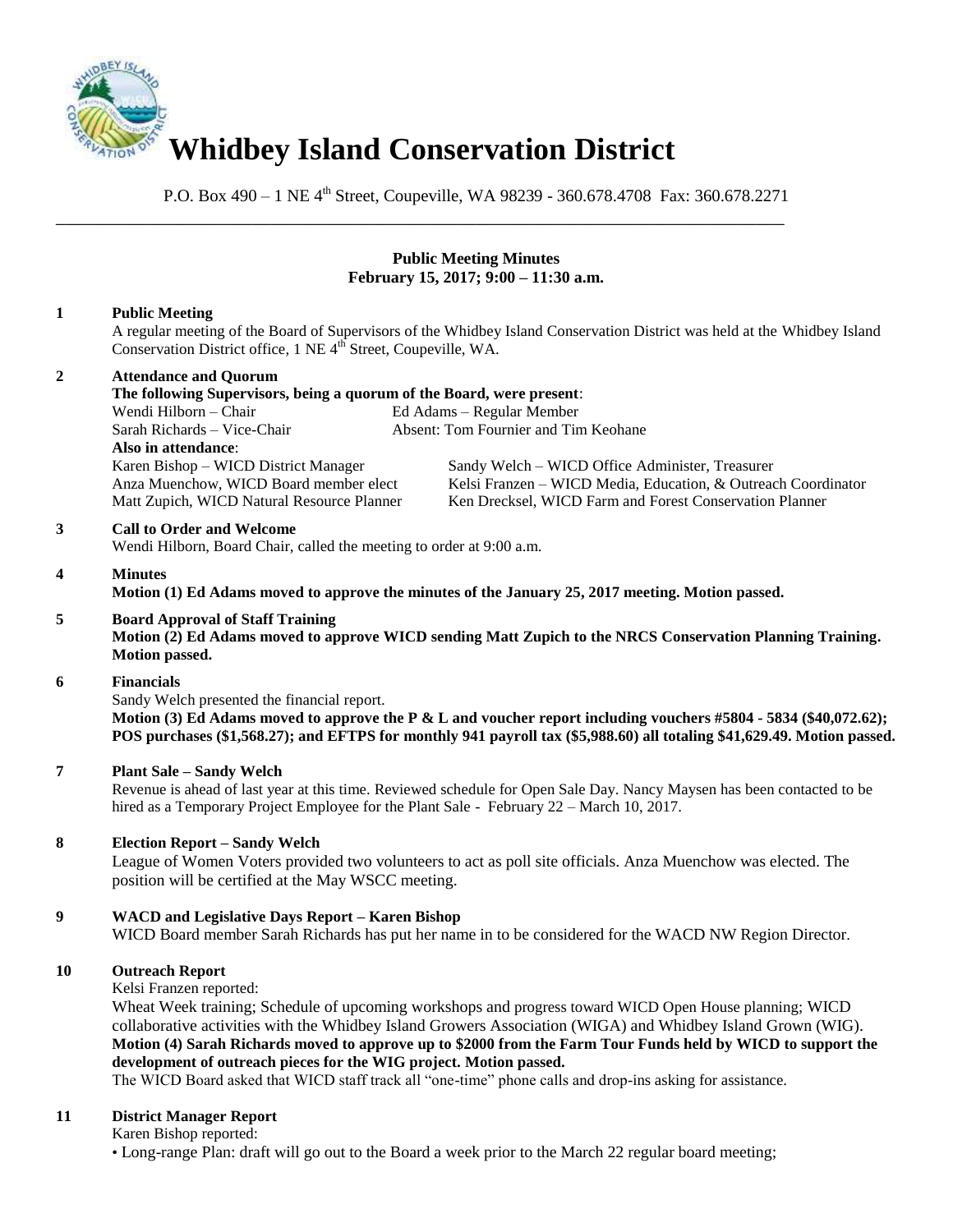

\_\_\_\_\_\_\_\_\_\_\_\_\_\_\_\_\_\_\_\_\_\_\_\_\_\_\_\_\_\_\_\_\_\_\_\_\_\_\_\_\_\_\_\_\_\_\_\_\_\_\_\_\_\_\_\_\_\_\_\_\_\_\_\_\_\_\_\_\_\_\_\_\_\_\_\_\_\_

P.O. Box 490 – 1 NE 4<sup>th</sup> Street, Coupeville, WA 98239 - 360.678.4708 Fax: 360.678.2271

# **Public Meeting Minutes February 15, 2017; 9:00 – 11:30 a.m.**

# **1 Public Meeting**

A regular meeting of the Board of Supervisors of the Whidbey Island Conservation District was held at the Whidbey Island Conservation District office, 1 NE 4<sup>th</sup> Street, Coupeville, WA.

# **2 Attendance and Quorum**

**The following Supervisors, being a quorum of the Board, were present**: Wendi Hilborn – Chair Ed Adams – Regular Member Sarah Richards – Vice-Chair Absent: Tom Fournier and Tim Keohane **Also in attendance**: Karen Bishop – WICD District Manager Sandy Welch – WICD Office Administer, Treasurer Anza Muenchow, WICD Board member elect Kelsi Franzen – WICD Media, Education, & Outreach Coordinator Matt Zupich, WICD Natural Resource Planner Ken Drecksel, WICD Farm and Forest Conservation Planner

#### **3 Call to Order and Welcome**

Wendi Hilborn, Board Chair, called the meeting to order at 9:00 a.m.

#### **4 Minutes**

**Motion (1) Ed Adams moved to approve the minutes of the January 25, 2017 meeting. Motion passed.** 

#### **5 Board Approval of Staff Training**

**Motion (2) Ed Adams moved to approve WICD sending Matt Zupich to the NRCS Conservation Planning Training. Motion passed.** 

#### **6 Financials**

Sandy Welch presented the financial report.

**Motion (3) Ed Adams moved to approve the P & L and voucher report including vouchers #5804 - 5834 (\$40,072.62); POS purchases (\$1,568.27); and EFTPS for monthly 941 payroll tax (\$5,988.60) all totaling \$41,629.49. Motion passed.** 

# **7 Plant Sale – Sandy Welch**

Revenue is ahead of last year at this time. Reviewed schedule for Open Sale Day. Nancy Maysen has been contacted to be hired as a Temporary Project Employee for the Plant Sale - February 22 – March 10, 2017.

### **8 Election Report – Sandy Welch**

League of Women Voters provided two volunteers to act as poll site officials. Anza Muenchow was elected. The position will be certified at the May WSCC meeting.

### **9 WACD and Legislative Days Report – Karen Bishop**

WICD Board member Sarah Richards has put her name in to be considered for the WACD NW Region Director.

### **10 Outreach Report**

Kelsi Franzen reported:

Wheat Week training; Schedule of upcoming workshops and progress toward WICD Open House planning; WICD collaborative activities with the Whidbey Island Growers Association (WIGA) and Whidbey Island Grown (WIG). **Motion (4) Sarah Richards moved to approve up to \$2000 from the Farm Tour Funds held by WICD to support the development of outreach pieces for the WIG project. Motion passed.**

The WICD Board asked that WICD staff track all "one-time" phone calls and drop-ins asking for assistance.

#### **11 District Manager Report**

Karen Bishop reported:

• Long-range Plan: draft will go out to the Board a week prior to the March 22 regular board meeting;